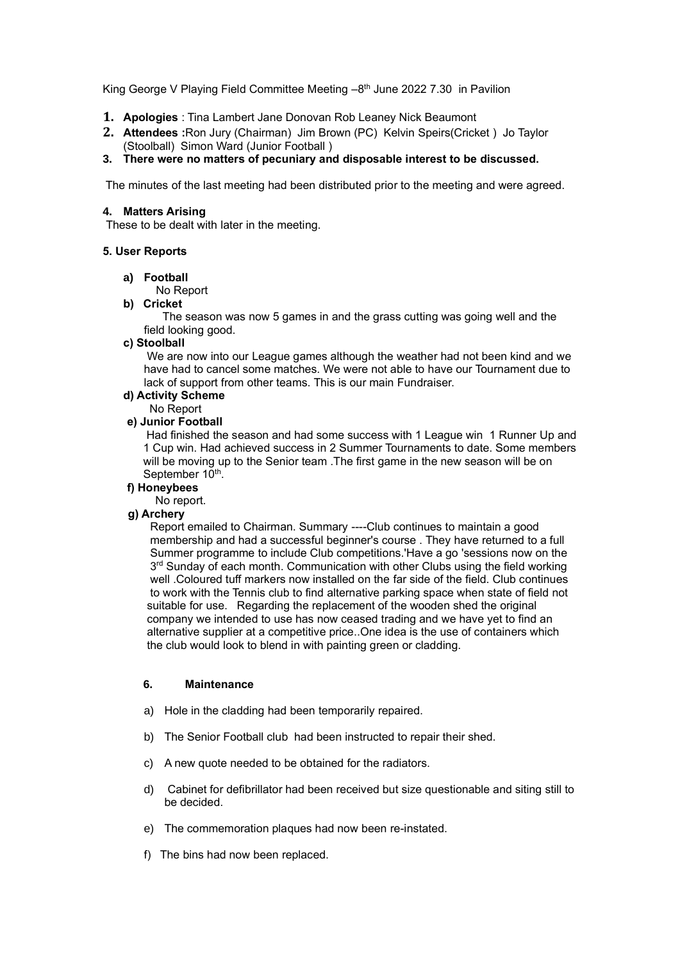King George V Playing Field Committee Meeting -8<sup>th</sup> June 2022 7.30 in Pavilion

- **1. Apologies** : Tina Lambert Jane Donovan Rob Leaney Nick Beaumont
- **2. Attendees :**Ron Jury (Chairman) Jim Brown (PC) Kelvin Speirs(Cricket ) Jo Taylor (Stoolball) Simon Ward (Junior Football )
- **3. There were no matters of pecuniary and disposable interest to be discussed.**

The minutes of the last meeting had been distributed prior to the meeting and were agreed.

### **4. Matters Arising**

These to be dealt with later in the meeting.

#### **5. User Reports**

#### **a) Football**

No Report

**b) Cricket**

 The season was now 5 games in and the grass cutting was going well and the field looking good.

# **c) Stoolball**

We are now into our League games although the weather had not been kind and we have had to cancel some matches. We were not able to have our Tournament due to lack of support from other teams. This is our main Fundraiser.

- **d) Activity Scheme**
	- No Report

# **e) Junior Football**

Had finished the season and had some success with 1 League win 1 Runner Up and 1 Cup win. Had achieved success in 2 Summer Tournaments to date. Some members will be moving up to the Senior team .The first game in the new season will be on September 10<sup>th</sup>.

### **f) Honeybees**

No report.

# **g) Archery**

Report emailed to Chairman. Summary ----Club continues to maintain a good membership and had a successful beginner's course . They have returned to a full Summer programme to include Club competitions.'Have a go 'sessions now on the 3<sup>rd</sup> Sunday of each month. Communication with other Clubs using the field working well .Coloured tuff markers now installed on the far side of the field. Club continues to work with the Tennis club to find alternative parking space when state of field not suitable for use. Regarding the replacement of the wooden shed the original company we intended to use has now ceased trading and we have yet to find an alternative supplier at a competitive price..One idea is the use of containers which the club would look to blend in with painting green or cladding.

#### **6. Maintenance**

- a) Hole in the cladding had been temporarily repaired.
- b) The Senior Football club had been instructed to repair their shed.
- c) A new quote needed to be obtained for the radiators.
- d) Cabinet for defibrillator had been received but size questionable and siting still to be decided.
- e) The commemoration plaques had now been re-instated.
- f) The bins had now been replaced.